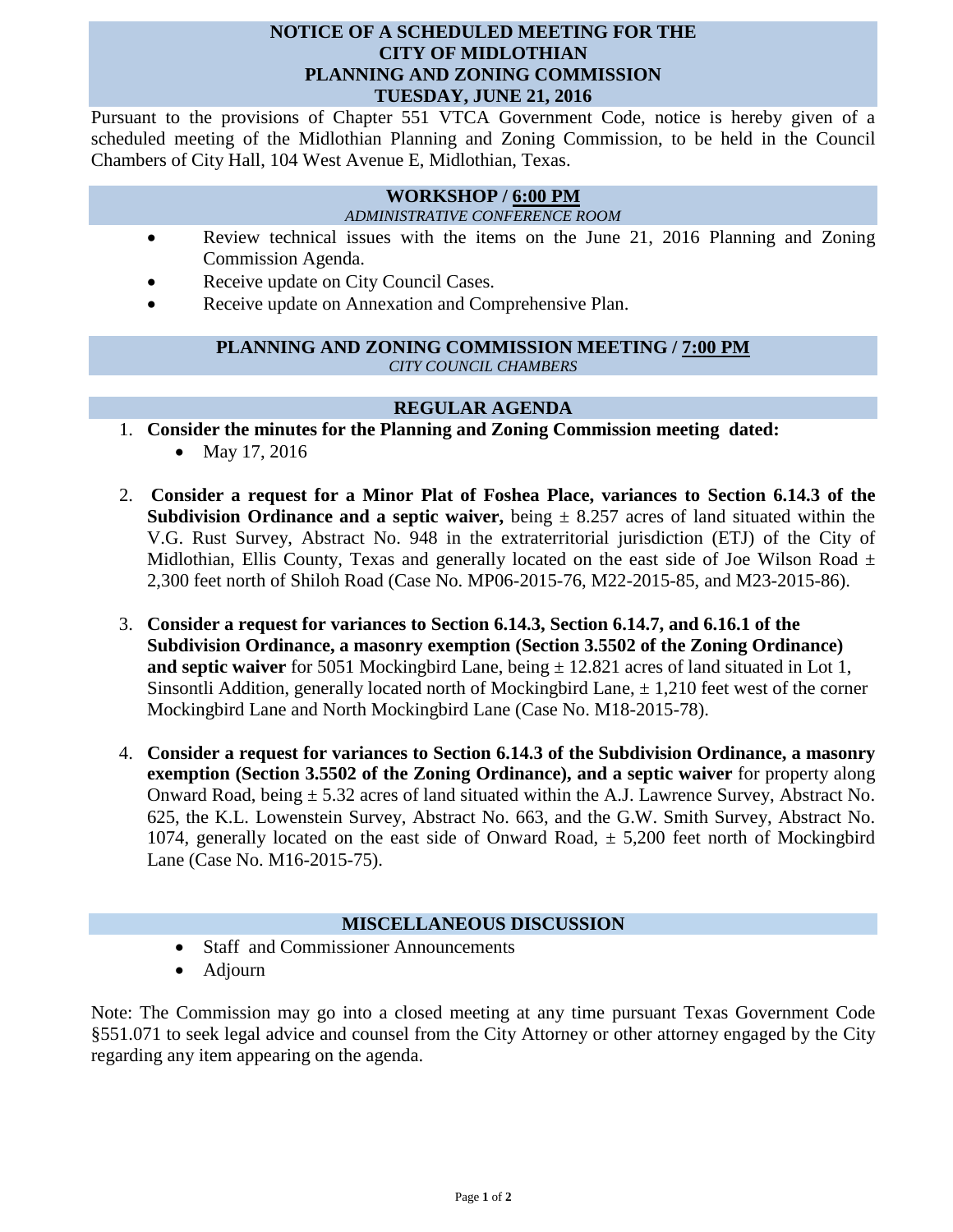### **NOTICE OF A SCHEDULED MEETING FOR THE CITY OF MIDLOTHIAN PLANNING AND ZONING COMMISSION TUESDAY, JUNE 21, 2016**

Pursuant to the provisions of Chapter 551 VTCA Government Code, notice is hereby given of a scheduled meeting of the Midlothian Planning and Zoning Commission, to be held in the Council Chambers of City Hall, 104 West Avenue E, Midlothian, Texas.

# **WORKSHOP / 6:00 PM**

*ADMINISTRATIVE CONFERENCE ROOM*

- Review technical issues with the items on the June 21, 2016 Planning and Zoning Commission Agenda.
- Receive update on City Council Cases.
- Receive update on Annexation and Comprehensive Plan.

#### **PLANNING AND ZONING COMMISSION MEETING / 7:00 PM** *CITY COUNCIL CHAMBERS*

## **REGULAR AGENDA**

1. **Consider the minutes for the Planning and Zoning Commission meeting dated:** 

- May 17, 2016
- 2. **Consider a request for a Minor Plat of Foshea Place, variances to Section 6.14.3 of the Subdivision Ordinance and a septic waiver,** being  $\pm$  8.257 acres of land situated within the V.G. Rust Survey, Abstract No. 948 in the extraterritorial jurisdiction (ETJ) of the City of Midlothian, Ellis County, Texas and generally located on the east side of Joe Wilson Road  $\pm$ 2,300 feet north of Shiloh Road (Case No. MP06-2015-76, M22-2015-85, and M23-2015-86).
- 3. **Consider a request for variances to Section 6.14.3, Section 6.14.7, and 6.16.1 of the Subdivision Ordinance, a masonry exemption (Section 3.5502 of the Zoning Ordinance) and septic waiver** for 5051 Mockingbird Lane, being  $\pm$  12.821 acres of land situated in Lot 1, Sinsontli Addition, generally located north of Mockingbird Lane,  $\pm$  1,210 feet west of the corner Mockingbird Lane and North Mockingbird Lane (Case No. M18-2015-78).
- 4. **Consider a request for variances to Section 6.14.3 of the Subdivision Ordinance, a masonry exemption (Section 3.5502 of the Zoning Ordinance), and a septic waiver** for property along Onward Road, being  $\pm$  5.32 acres of land situated within the A.J. Lawrence Survey, Abstract No. 625, the K.L. Lowenstein Survey, Abstract No. 663, and the G.W. Smith Survey, Abstract No. 1074, generally located on the east side of Onward Road,  $\pm$  5,200 feet north of Mockingbird Lane (Case No. M16-2015-75).

#### **MISCELLANEOUS DISCUSSION**

- Staff and Commissioner Announcements
- Adjourn

Note: The Commission may go into a closed meeting at any time pursuant Texas Government Code §551.071 to seek legal advice and counsel from the City Attorney or other attorney engaged by the City regarding any item appearing on the agenda.